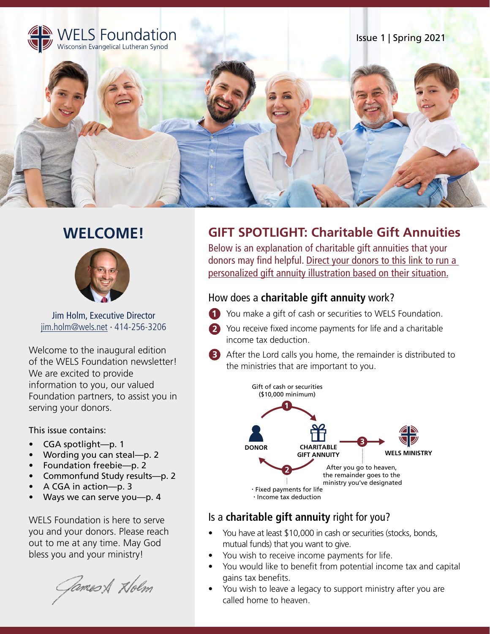

# **WELCOME!**



Jim Holm, Executive Director jim.holm@wels.net ∙ 414-256-3206

Welcome to the inaugural edition of the WELS Foundation newsletter! We are excited to provide information to you, our valued Foundation partners, to assist you in serving your donors.

This issue contains:

- CGA spotlight—p. 1
- Wording you can steal—p. 2
- Foundation freebie—p. 2
- Commonfund Study results—p. 2
- A CGA in action—p. 3
- Ways we can serve you—p. 4

WELS Foundation is here to serve you and your donors. Please reach out to me at any time. May God bless you and your ministry!

Games & Holm

## **GIFT SPOTLIGHT: Charitable Gift Annuities**

Below is an explanation of charitable gift annuities that your [donors may find helpful. Direct your donors to this link to run a](https://wels.net/wels-gift-guide/pg-calc-gift-annuity/#gsc.tab=0) personalized gift annuity illustration based on their situation.

### How does a **charitable gift annuity** work?

- You make a gift of cash or securities to WELS Foundation.
- You receive fixed income payments for life and a charitable income tax deduction.
- **B** After the Lord calls you home, the remainder is distributed to the ministries that are important to you.



### Is a **charitable gift annuity** right for you?

- You have at least \$10,000 in cash or securities (stocks, bonds, mutual funds) that you want to give.
- You wish to receive income payments for life.
- You would like to benefit from potential income tax and capital gains tax benefits.
- You wish to leave a legacy to support ministry after you are called home to heaven.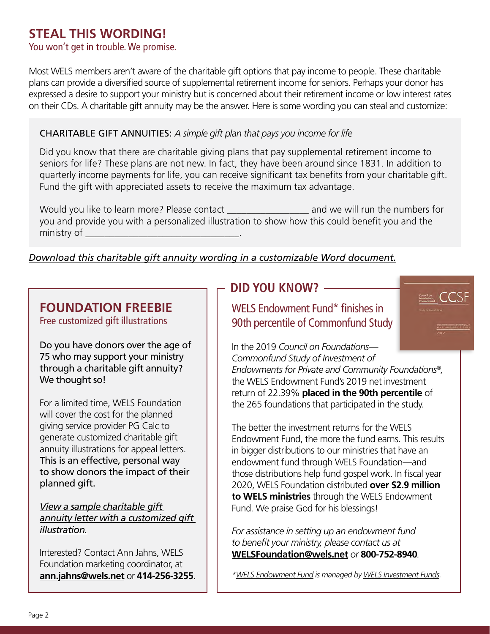# **STEAL THIS WORDING!**

## You won't get in trouble. We promise.

Most WELS members aren't aware of the charitable gift options that pay income to people. These charitable plans can provide a diversified source of supplemental retirement income for seniors. Perhaps your donor has expressed a desire to support your ministry but is concerned about their retirement income or low interest rates on their CDs. A charitable gift annuity may be the answer. Here is some wording you can steal and customize:

### CHARITABLE GIFT ANNUITIES: *A simple gift plan that pays you income for life*

Did you know that there are charitable giving plans that pay supplemental retirement income to seniors for life? These plans are not new. In fact, they have been around since 1831. In addition to quarterly income payments for life, you can receive significant tax benefits from your charitable gift. Fund the gift with appreciated assets to receive the maximum tax advantage.

Would you like to learn more? Please contact \_\_\_\_\_\_\_\_\_\_\_\_\_\_\_\_\_ and we will run the numbers for you and provide you with a personalized illustration to show how this could benefit you and the ministry of \_

#### *[Download this charitable gift annuity wording in a customizable Word document.](https://foundation.welsrc.net/download-foundation/wels-foundation-quarterly-newsletter/)*

# **FOUNDATION FREEBIE**

Free customized gift illustrations

Do you have donors over the age of 75 who may support your ministry through a charitable gift annuity? We thought so!

For a limited time, WELS Foundation will cover the cost for the planned giving service provider PG Calc to generate customized charitable gift annuity illustrations for appeal letters. This is an effective, personal way to show donors the impact of their planned gift.

*View a sample charitable gift [annuity letter with a customized gift](https://foundation.welsrc.net/download-foundation/wels-foundation-quarterly-newsletter/?wpdmdl=3743&ind=1617042020076) illustration.*

Interested? Contact Ann Jahns, WELS Foundation marketing coordinator, at **ann.jahns@wels.net** or **414-256-3255**.

## **DID YOU KNOW?**

WELS Endowment Fund\* finishes in 90th percentile of Commonfund Study

In the 2019 *Council on Foundations— Commonfund Study of Investment of* 

*Endowments for Private and Community Foundations®,* the WELS Endowment Fund's 2019 net investment return of 22.39% **placed in the 90th percentile** of the 265 foundations that participated in the study.

The better the investment returns for the WELS Endowment Fund, the more the fund earns. This results in bigger distributions to our ministries that have an endowment fund through WELS Foundation—and those distributions help fund gospel work. In fiscal year 2020, WELS Foundation distributed **over \$2.9 million to WELS ministries** through the WELS Endowment Fund. We praise God for his blessings!

*For assistance in setting up an endowment fund to benefit your ministry, please contact us at*  **WELSFoundation@wels.net** *or* **800-752-8940***.*

*[\\*WELS Endowment Fund](https://wif.welsrc.net/download-wif/fund-sheets/?wpdmdl=3241&ind=1618602253926) is managed by [WELS Investment Funds](https://wels.net/giving/wels-investment-funds/).*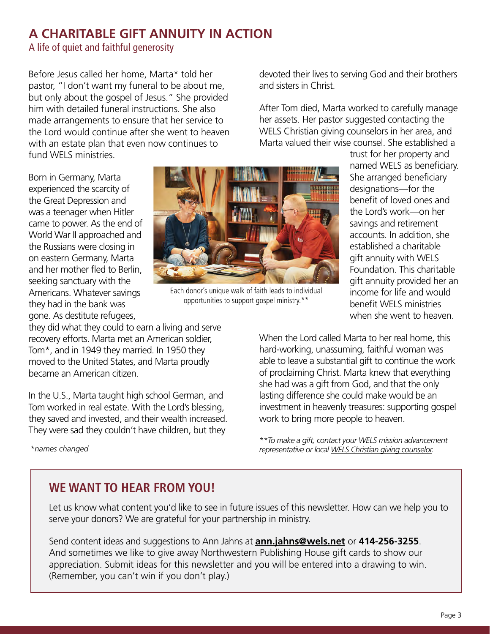## **A CHARITABLE GIFT ANNUITY IN ACTION**

A life of quiet and faithful generosity

Before Jesus called her home, Marta\* told her pastor, "I don't want my funeral to be about me, but only about the gospel of Jesus." She provided him with detailed funeral instructions. She also made arrangements to ensure that her service to the Lord would continue after she went to heaven with an estate plan that even now continues to fund WELS ministries.

devoted their lives to serving God and their brothers and sisters in Christ.

After Tom died, Marta worked to carefully manage her assets. Her pastor suggested contacting the WELS Christian giving counselors in her area, and Marta valued their wise counsel. She established a

Born in Germany, Marta experienced the scarcity of the Great Depression and was a teenager when Hitler came to power. As the end of World War II approached and the Russians were closing in on eastern Germany, Marta and her mother fled to Berlin, seeking sanctuary with the Americans. Whatever savings they had in the bank was gone. As destitute refugees,



Each donor's unique walk of faith leads to individual opportunities to support gospel ministry.\*\*

trust for her property and named WELS as beneficiary. She arranged beneficiary designations—for the benefit of loved ones and the Lord's work—on her savings and retirement accounts. In addition, she established a charitable gift annuity with WELS Foundation. This charitable gift annuity provided her an income for life and would benefit WELS ministries when she went to heaven.

they did what they could to earn a living and serve recovery efforts. Marta met an American soldier, Tom\*, and in 1949 they married. In 1950 they moved to the United States, and Marta proudly became an American citizen.

In the U.S., Marta taught high school German, and Tom worked in real estate. With the Lord's blessing, they saved and invested, and their wealth increased. They were sad they couldn't have children, but they

*\*names changed*

When the Lord called Marta to her real home, this hard-working, unassuming, faithful woman was able to leave a substantial gift to continue the work of proclaiming Christ. Marta knew that everything she had was a gift from God, and that the only lasting difference she could make would be an investment in heavenly treasures: supporting gospel work to bring more people to heaven.

*\*\*To make a gift, contact your WELS mission advancement representative or local [WELS Christian giving counselor.](https://wels.net/giving/ministry-of-christian-giving/christiangivingcounselordirectory/)*

# **WE WANT TO HEAR FROM YOU!**

Let us know what content you'd like to see in future issues of this newsletter. How can we help you to serve your donors? We are grateful for your partnership in ministry.

Send content ideas and suggestions to Ann Jahns at **ann.jahns@wels.net** or **414-256-3255**. And sometimes we like to give away Northwestern Publishing House gift cards to show our appreciation. Submit ideas for this newsletter and you will be entered into a drawing to win. (Remember, you can't win if you don't play.)